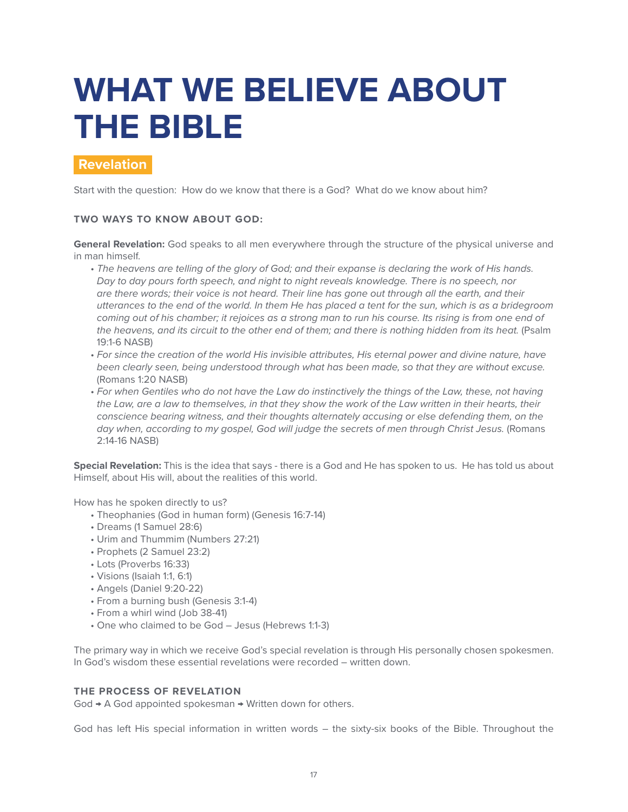# **WHAT WE BELIEVE ABOUT THE BIBLE**

## **Revelation**

Start with the question: How do we know that there is a God? What do we know about him?

#### **TWO WAYS TO KNOW ABOUT GOD:**

**General Revelation:** God speaks to all men everywhere through the structure of the physical universe and in man himself.

- *The heavens are telling of the glory of God; and their expanse is declaring the work of His hands. Day to day pours forth speech, and night to night reveals knowledge. There is no speech, nor are there words; their voice is not heard. Their line has gone out through all the earth, and their utterances to the end of the world. In them He has placed a tent for the sun, which is as a bridegroom coming out of his chamber; it rejoices as a strong man to run his course. Its rising is from one end of the heavens, and its circuit to the other end of them; and there is nothing hidden from its heat.* (Psalm 19:1-6 NASB)
- *For since the creation of the world His invisible attributes, His eternal power and divine nature, have been clearly seen, being understood through what has been made, so that they are without excuse.*  (Romans 1:20 NASB)
- *For when Gentiles who do not have the Law do instinctively the things of the Law, these, not having the Law, are a law to themselves, in that they show the work of the Law written in their hearts, their conscience bearing witness, and their thoughts alternately accusing or else defending them, on the*  day when, according to my gospel, God will judge the secrets of men through Christ Jesus. (Romans 2:14-16 NASB)

**Special Revelation:** This is the idea that says - there is a God and He has spoken to us. He has told us about Himself, about His will, about the realities of this world.

How has he spoken directly to us?

- Theophanies (God in human form) (Genesis 16:7-14)
- Dreams (1 Samuel 28:6)
- Urim and Thummim (Numbers 27:21)
- Prophets (2 Samuel 23:2)
- Lots (Proverbs 16:33)
- Visions (Isaiah 1:1, 6:1)
- Angels (Daniel 9:20-22)
- From a burning bush (Genesis 3:1-4)
- From a whirl wind (Job 38-41)
- One who claimed to be God Jesus (Hebrews 1:1-3)

The primary way in which we receive God's special revelation is through His personally chosen spokesmen. In God's wisdom these essential revelations were recorded – written down.

#### **THE PROCESS OF REVELATION**

God → A God appointed spokesman → Written down for others.

God has left His special information in written words – the sixty-six books of the Bible. Throughout the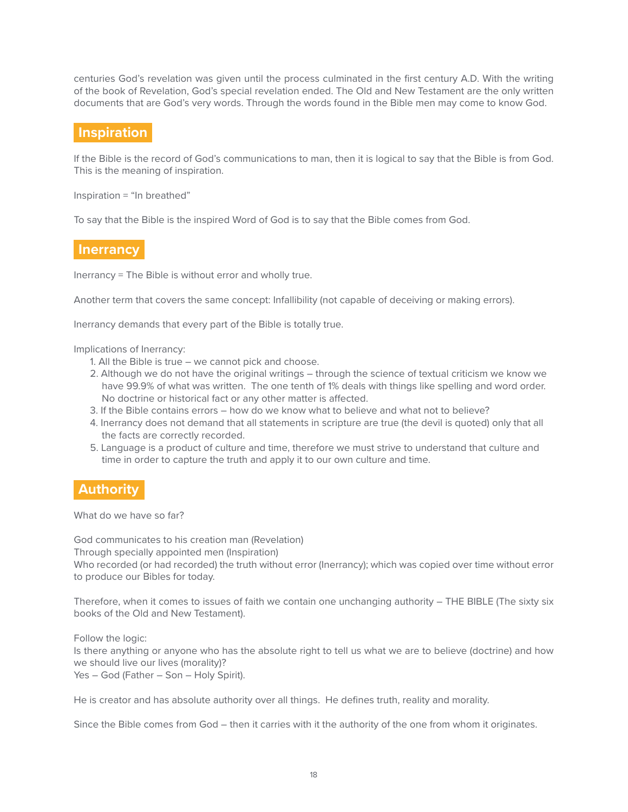centuries God's revelation was given until the process culminated in the first century A.D. With the writing of the book of Revelation, God's special revelation ended. The Old and New Testament are the only written documents that are God's very words. Through the words found in the Bible men may come to know God.

### **Inspiration**

If the Bible is the record of God's communications to man, then it is logical to say that the Bible is from God. This is the meaning of inspiration.

Inspiration = "In breathed"

To say that the Bible is the inspired Word of God is to say that the Bible comes from God.

## **Inerrancy**

Inerrancy = The Bible is without error and wholly true.

Another term that covers the same concept: Infallibility (not capable of deceiving or making errors).

Inerrancy demands that every part of the Bible is totally true.

Implications of Inerrancy:

- 1. All the Bible is true we cannot pick and choose.
- 2. Although we do not have the original writings through the science of textual criticism we know we have 99.9% of what was written. The one tenth of 1% deals with things like spelling and word order. No doctrine or historical fact or any other matter is affected.
- 3. If the Bible contains errors how do we know what to believe and what not to believe?
- 4. Inerrancy does not demand that all statements in scripture are true (the devil is quoted) only that all the facts are correctly recorded.
- 5. Language is a product of culture and time, therefore we must strive to understand that culture and time in order to capture the truth and apply it to our own culture and time.

#### **Authority**

What do we have so far?

God communicates to his creation man (Revelation) Through specially appointed men (Inspiration) Who recorded (or had recorded) the truth without error (Inerrancy); which was copied over time without error to produce our Bibles for today.

Therefore, when it comes to issues of faith we contain one unchanging authority – THE BIBLE (The sixty six books of the Old and New Testament).

Follow the logic: Is there anything or anyone who has the absolute right to tell us what we are to believe (doctrine) and how we should live our lives (morality)? Yes – God (Father – Son – Holy Spirit).

He is creator and has absolute authority over all things. He defines truth, reality and morality.

Since the Bible comes from God – then it carries with it the authority of the one from whom it originates.